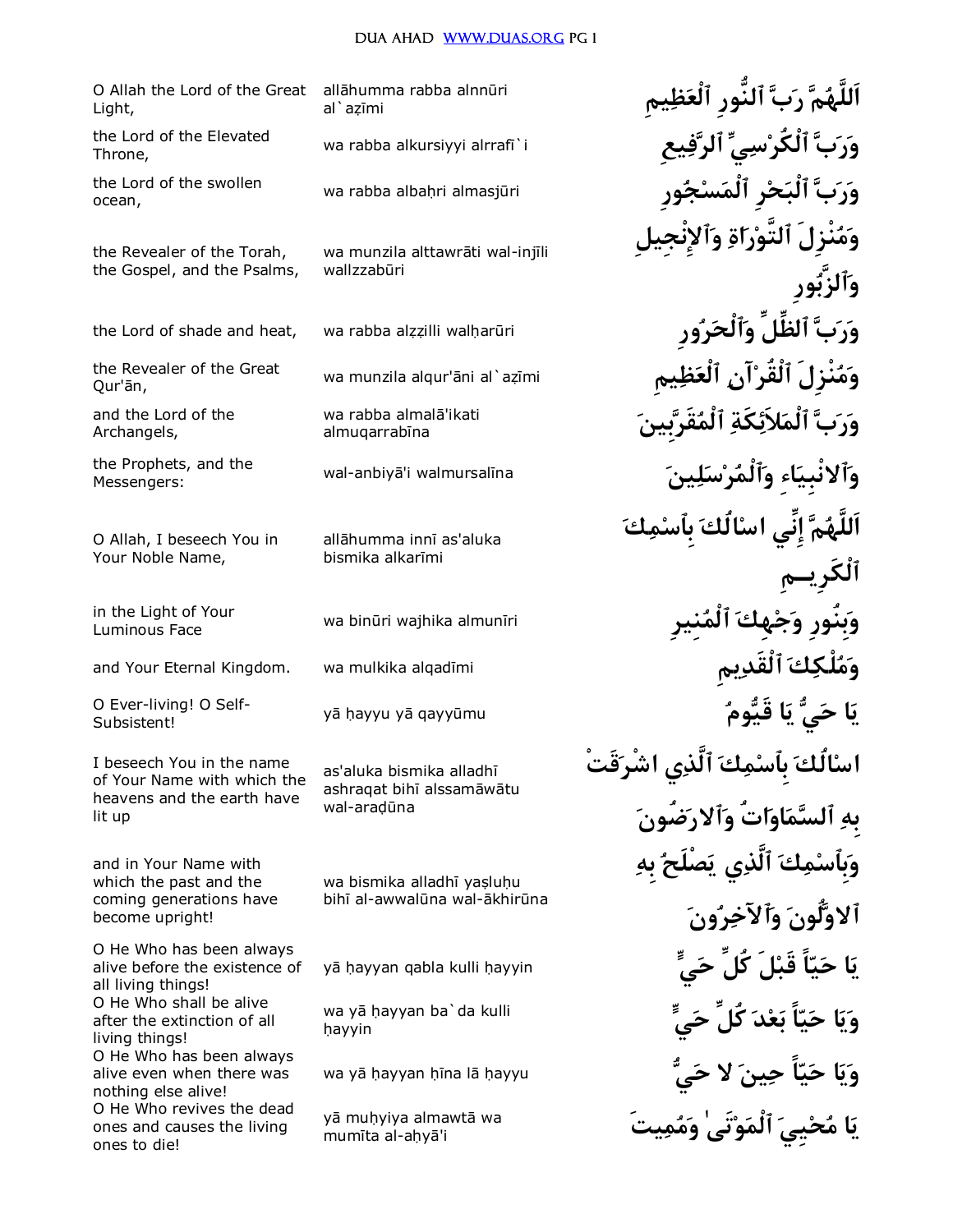### DUA AHAD WWW.DUAS.ORG PG 1

O Allah the Lord of the Great Light,

the Lord of the Elevated Throne,

the Lord of the swollen ocean,

the Revealer of the Torah, the Gospel, and the Psalms,

the Lord of shade and heat,

the Revealer of the Great Our'ān,

and the Lord of the Archangels,

the Prophets, and the Messengers:

O Allah, I beseech You in Your Noble Name,

in the Light of Your **Luminous Face** 

and Your Eternal Kingdom.

O Ever-living! O Self-Subsistent!

I beseech You in the name of Your Name with which the heavens and the earth have lit up

and in Your Name with which the past and the coming generations have become upright!

O He Who has been always alive before the existence of all living things! O He Who shall be alive after the extinction of all living things! O He Who has been always alive even when there was nothing else alive! O He Who revives the dead ones and causes the living ones to die!

allāhumma rabba alnnūri al`azīmi

wa rabba alkursiyyi alrrafi`i

wa rabba albahri almasjūri

wa munzila alttawrāti wal-injīli wallzzabūri

wa rabba alzzilli walharūri

wa munzila algur'āni al`azīmi

wa rabba almalā'ikati almugarrabīna

wal-anbiyā'i walmursalīna

allāhumma innī as'aluka bismika alkarīmi

wa binūri wajhika almunīri

wa mulkika alqadīmi

yā hayyu yā gayyūmu

as'aluka bismika alladhī ashragat bihī alssamāwātu wal-aradūna

wa bismika alladhī yaşluhu bihī al-awwalūna wal-ākhirūna

yā hayyan qabla kulli hayyin

wa yā hayyan ba'da kulli havvin

wa yā hayyan hīna lā hayyu

yā muhyiya almawtā wa mumīta al-aḥyā'i

اَللَّهُمَّ رَبَّ ٱلنَّورِ ٱلْعَظِيمِ وَرَبَّ ٱلْكُرْسِيِّ ٱلرَّفِيعِ وَرَبَّ ٱلْبَحْرِ ٱلْمَسْجُورِ وَمُنْزِلَ ٱلتَّوْرَاةِ وَٱلإِنْع بَّ ٱلظَّلِّ وَٱلْحَرُور وَمُنْزِلَ ٱلْقَرْ'آنِ ٱلْعَذ وَرَبَّ ٱلْمَلاَئِكَةِ ٱلْمُقَرَّد وآلانبياء وآلمُرْس اَللَّهُمَّ إِنِّی اسْالَكَ بِٱسْمِ وَبِنور وَجْهِكَ ٱلمُن وَمُلْكِكَ ٱلْقَدِيم يَا حَيُّ يَا قَيُّومُ اسْالُكَ بِٱسْمِكَ ٱلَّذِي اشْرَقَتْ بهِ ٱلسَّمَاوَاتُ وَٱلارَضُونَ وَبِأَسْمِكَ ٱلَّذِي يَصْلَحُ بِهِ ألاوَلُونَ وَأَلآخِرُونَ نَا حَيّاً قَبْلَ كَلَ حَي وَيَا حَيّاً بَعْدَ كُلِّ حَے،ٍّ وَيَا حَيّاً حِينَ لا حَىَّ يَا مُحْييَ ٱلْمَوْتَىٰ وَمُمِيتَ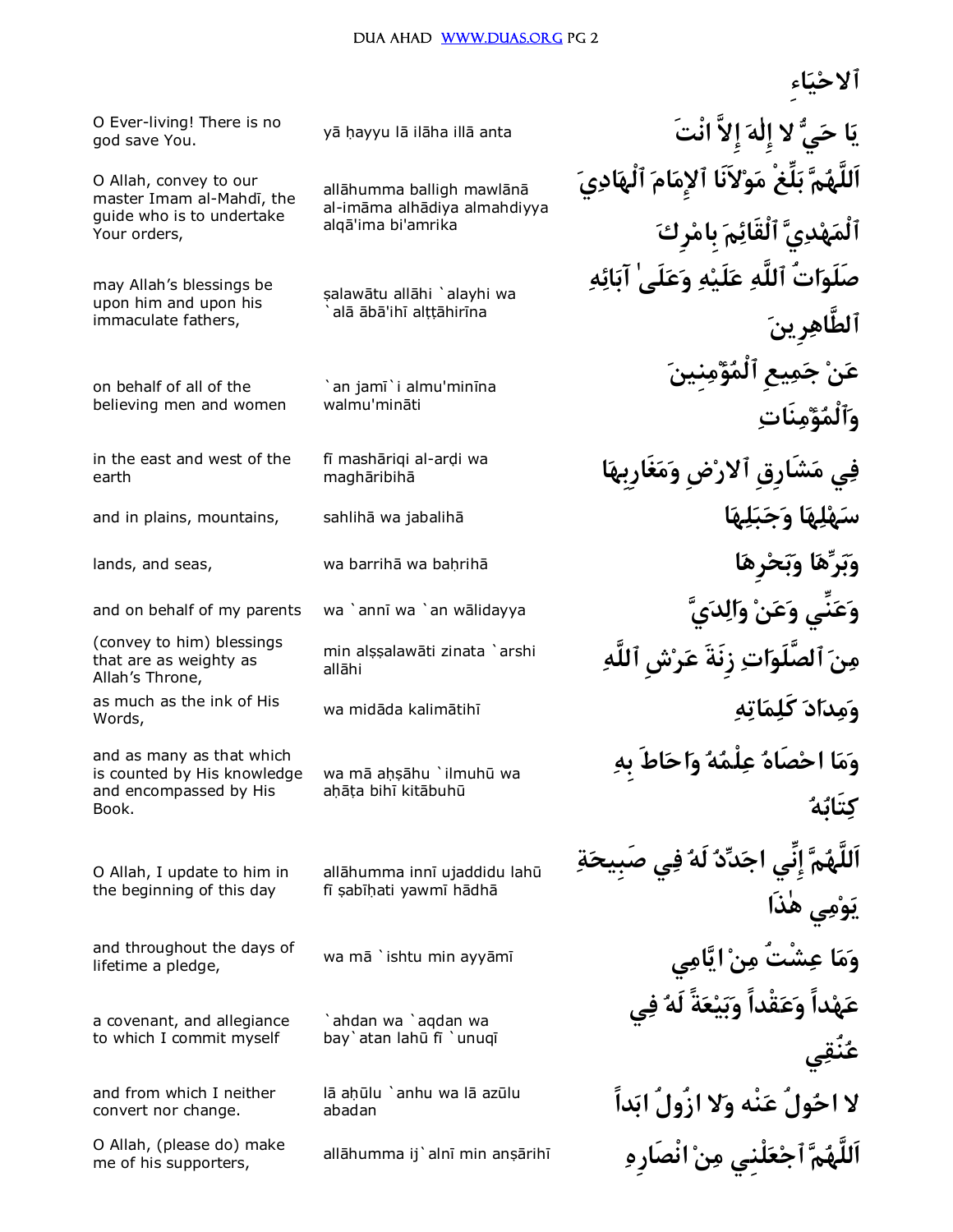god save You.

O Allah, convey to our master Imam al-Mahdī, the guide who is to undertake Your orders,

may Allah's blessings be upon him and upon his immaculate fathers,

on behalf of all of the believing men and women

in the east and west of the earth

(convey to him) blessings that are as weighty as Allah's Throne, Words,

and as many as that which is counted by His knowledge and encompassed by His Book.

O Allah, I update to him in the beginning of this day

lifetime a pledge,

a covenant, and allegiance to which I commit myself

and from which I neither convert nor change.

me of his supporters,

allāhumma balligh mawlānā al-imāma alhādiya almahdiyya algā'ima bi'amrika

şalawātu allāhi `alayhi wa alā ābā'ihī alttāhirīna

`an jamī`i almu'minīna walmu'mināti

maghāribihā

allāhi

wa mā aḥṣāhu `ilmuhū wa ahāta bihī kitābuhū

allāhumma innī ujaddidu lahū fī şabīhati yawmī hādhā

`ahdan wa `aqdan wa bay`atan lahū fī `unuqī

lā ahūlu `anhu wa lā azūlu abadan

**ٱلاحياءِ** y¡ ¦ayyu l¡ il¡ha ill¡ anta **نْتَا إِلاَّ هٰإِل لا يح اي** O Ever-living! There is no **اَللَّهم بلِّغْ مولاَنَا ٱلإِمام ٱلْهادي ٱلْمهدي ٱلْقَائم بِامرِك صَلَواتُ ٱللَّه علَيه وعلَىٰ آبائه ٱلطَّاهرِين عن جميعِ ٱلْمؤمنِين وٱلْمؤمنَات اغَارِبِهمو ضِرٱلا شَارِقِم يف** f¢ mash¡riqi al-ar¤i wa and in plains, mountains, sahlih¡ wa jabalih¡ **اهلبجو اهلهس** lands, and seas, wa barrih¡ wa ba¦rih¡ **ارِهحبو اهربو** and on behalf of my parents wa `annī wa `an wālidayya **يوَ عَنْي وَعَنْ وِالِدَيَّ** min alṣṣalawāti zinata `arshi**n أَصَلَوَاتِ زِنَةَ عَرْش ٱللَّهِ** wa mid¡da kalim¡tih¢ **هاتمكَل اددمو** as much as the ink of His **وما احصَاه علْمه واحاطَ بِه كتَابه اَللَّهم إِنِّي اجدد لَه في صَبِيحة يومي هٰذَا** and throughout the days of wa mā `ishtu min ayyāmī **يَامِي النَّامِي مِنْ النَّامِي مَسْتُ** مِ**نْ ايَّامِي مَسَ عهداً وعقْداً وبيعةً لَه في عنُقي لا احولُ عنْه ولا ازُولُ ابداً** all¡humma ij`aln¢ min an¥¡rih¢ **نْصَارِها نم لْنِيعٱج ماَللَّه** O Allah, (please do) make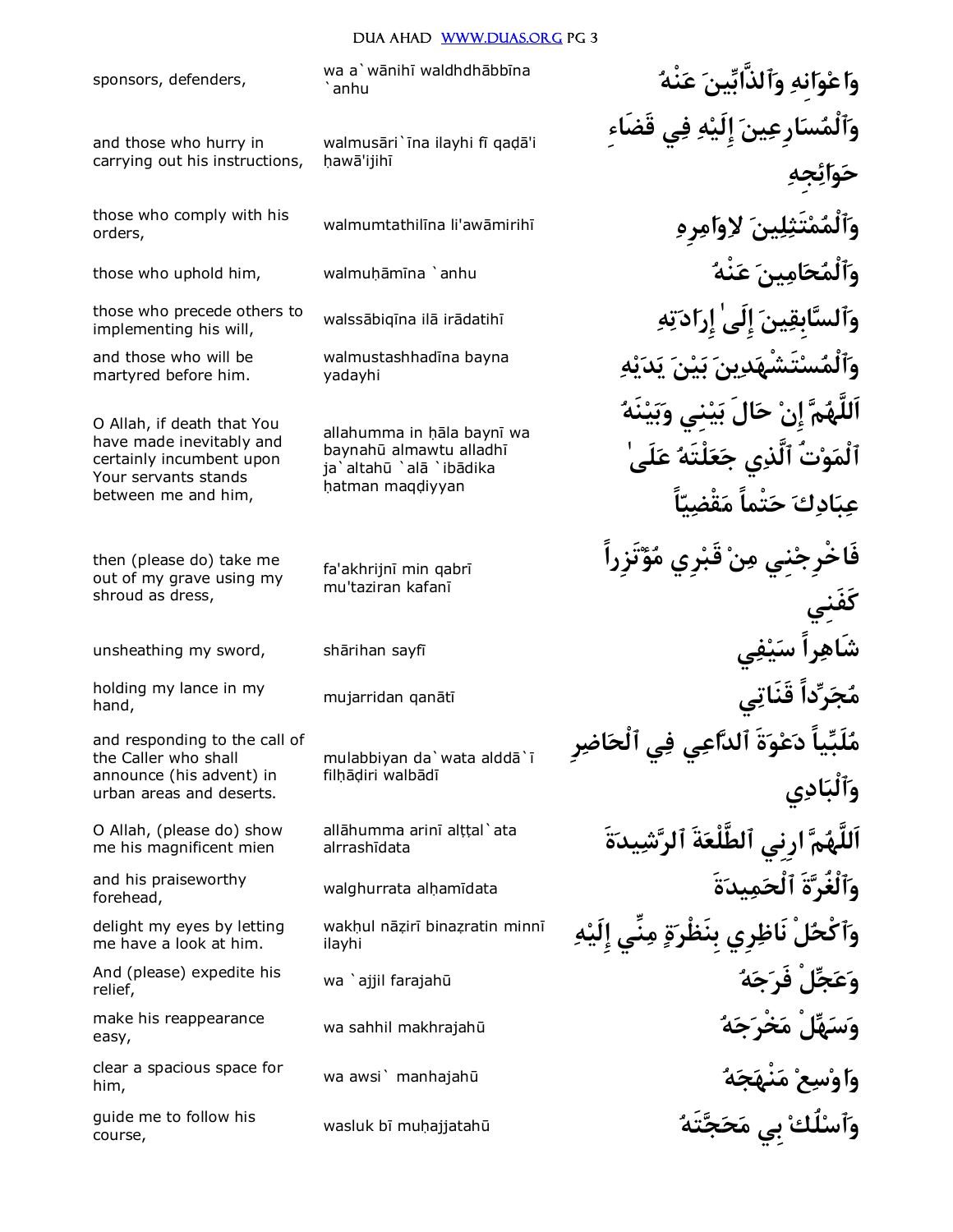sponsors, defenders,

orders,

and those who hurry in carrying out his instructions,

implementing his will,

and those who will be martyred before him.

O Allah, if death that You have made inevitably and certainly incumbent upon Your servants stands between me and him,

then (please do) take me out of my grave using my shroud as dress,

hand,

and responding to the call of the Caller who shall announce (his advent) in urban areas and deserts.

O Allah, (please do) show me his magnificent mien

forehead,

delight my eyes by letting me have a look at him.

relief,

easy,

him,

wasluk b¢ mu¦ajjatah£ **تَهجحم بِي لُكٱسو** guide me to follow his course,

walmusāri`īna ilayhi fī gadā'i hawā'ijihī

yadayhi

allahumma in hāla baynī wa baynahū almawtu alladhī ja`altahū `alā `ibādika hatman maqdiyyan

fa'akhrijnī min qabrī mu'taziran kafanī

mulabbiyan da`wata alddā`ī filhādiri walbādī

alrrashīdata

ilayhi

wa a`wānihī waldhdhābbīna **iya yiring yata yata wa**`amhu **وٱلْمسارِعين إِلَيه في قَضَاءِ حوائجِه** walmumtathil¢na li'aw¡mirih¢ **رِهامولا ينلتَثمٱلْمو** those who comply with his those who uphold him, walmu¦¡m¢na `anhu **نْهع ينامحٱلْمو** those who precede others to walssābiqīna ilā irādatihī **مَتَابِقِينَ إِلَى إِرَادَتِهِ** وَٱل**سَّابِقِينَ إِلَى إِرَادَتِهِ هيدي نيب يندتَشْهسٱلْمو** walmustashhad¢na bayna **اَللَّهم إِن حالَ بينِي وبينَه ٱلْموتُ ٱلَّذي جعلْتَه علَىٰ عبادك حتْماً مقْضياً فَاخْرِجنِي من قَبرِي مؤتَزِراً كَفَنِي** unsheathing my sword, sh¡rihan sayf¢ **يفيس راًشَاه** holding my lance in my <sub>mujarridan qanātī <mark>(نَجَر<sup>ِ</sup>ّداًً قَنَاتِي</mark></sub> **ملَبياً دعوةَ ٱلداعي في ٱلْحاضرِ وٱلْبادي ةَيدشٱلر ةَٱلطَّلْع رِنِيا ماَللَّه** all¡humma arin¢ al§§al`ata and his praiseworthy walghurrata alḥamīdata **أَلْغُر**ّةَ ٱلْحَمِيدَةَ مَسْتَمْسَمَعْ and his praiseworthy **هإِلَي نِّيم ةبِنَظْر رِينَاظ لْٱكْحو** wak¦ul n¡¨ir¢ bina¨ratin minn¢ wa `ajjil farajah£ **هجفَر لْجعو** And (please) expedite his make his reappearance wa sahhil makhrajahū **هَجْرَحَهُ لَهِ الْهَجْرَمَ** make his reappearance wa sahhil makhrajahū wa awsi` manhajah£ **هجنْهم عسواو** clear a spacious space for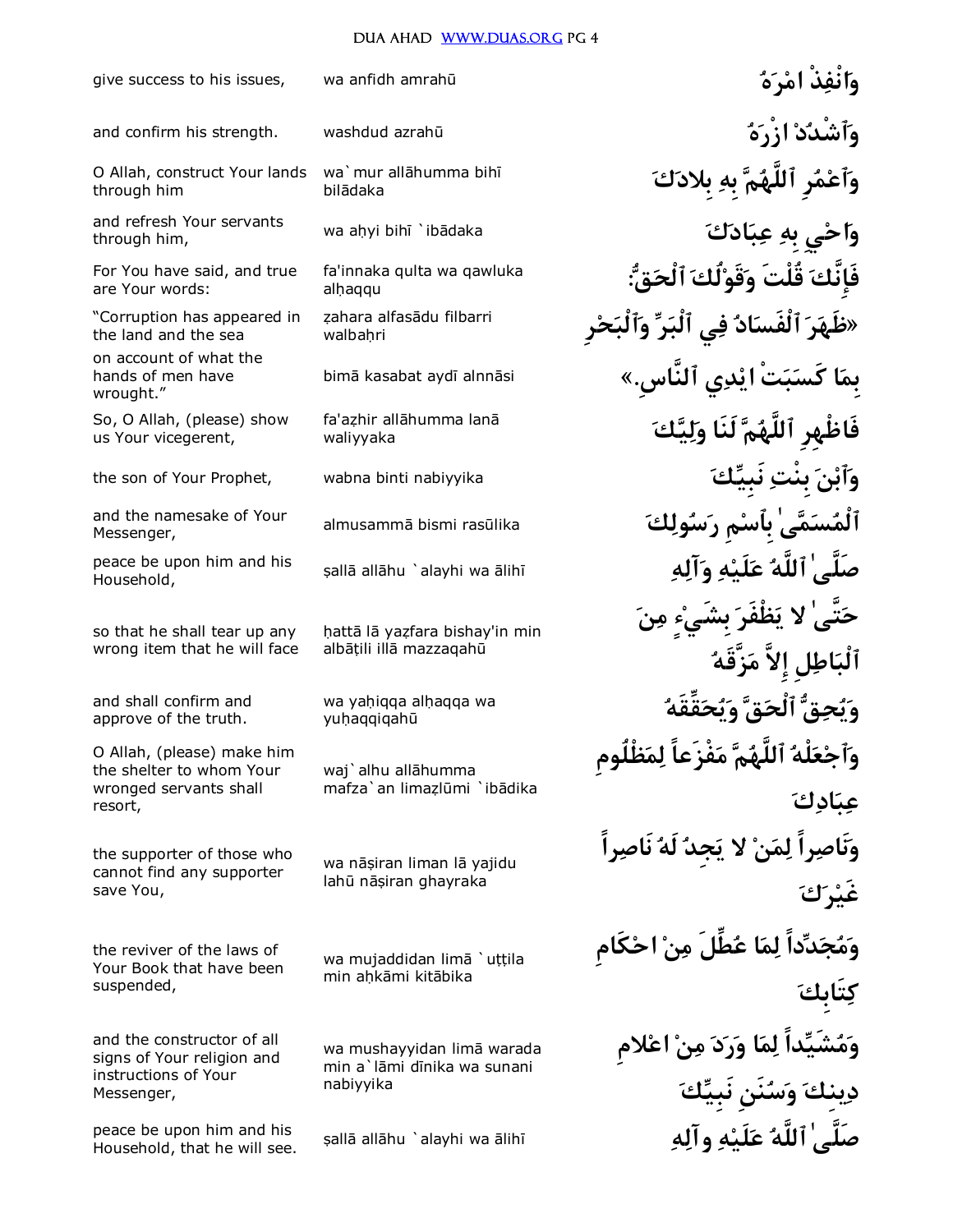give success to his issues, wa anfidh amrah£ **هرما ذْنْفاو** and confirm his strength. washdud azrah£ **هزْرا دٱشْدو كبِلاد بِه مٱللَّه رِمٱعو** wa`mur all¡humma bih¢ bilādaka O Allah, construct Your lands through him wa a¦yi bih¢ `ib¡daka **كادبع بِه يِحاو** and refresh Your servants through him, **:قٱلْح لُكقَوو قُلْتَ فَإِنَّك** fa'innaka qulta wa qawluka alhaqqu For You have said, and true are Your words: **«ظَهر ٱلْفَساد في ٱلْبر وٱلْبحرِ** zahara alfasādu filbarri walbahri "Corruption has appeared in the land and the sea bim¡ kasabat ayd¢ alnn¡si **«.ٱلنَّاسِ يديا تْبكَس ابِم** on account of what the hands of men have wrought." **كيلو لَنَا مٱللَّه ظْهِرِفَا** fa'a¨hir all¡humma lan¡ waliyyaka So, O Allah, (please) show us Your vicegerent, the son of Your Prophet, wabna binti nabiyyika **كنَبِي بِنْت نٱبو** almusamm¡ bismi ras£lika **كولسر مِبِٱس ٰىمسٱلْم** and the namesake of Your Messenger, ¥all¡ all¡hu `alayhi wa ¡lih¢ **هآلو هلَيع ٱللَّه ٰصَلَّى** peace be upon him and his Household, **حتَّىٰ لا يظْفَر بِشَيءٍ من ٱلْباطلِ إِلاَّ مزَّقَه** hattā lā yazfara bishay'in min albātili illā mazzagahū so that he shall tear up any wrong item that he will face wa yaḥiqqa alḥaqqa wa<br>wubaqqiqabū **i** yuhaqqiqahū and shall confirm and approve of the truth. **وٱجعلْه ٱللَّهم مفْزَعاً لمظْلُومِ**  waj`alhu allāhumma mafza`an limazlūmi `ibādika O Allah, (please) make him the shelter to whom Your wronged servants shall resort, **ونَاصراً لمن لا يجِد لَه نَاصراً**  wa nāșiran liman lā yajidu lahū nāṣiran ghayraka the supporter of those who cannot find any supporter save You, **ومجدداً لما عطِّلَ من احكَامِ**  wa mujaddidan limā `uțțila min ahkāmi kitābika the reviver of the laws of Your Book that have been suspended, **ومشَيداً لما ورد من اعلامِ دينِك وسنَنِ نَبِيك** wa mushayyidan limā warada min a`lāmi dīnika wa sunani nabiyyika and the constructor of all signs of Your religion and instructions of Your Messenger, ¥all¡ all¡hu `alayhi wa ¡lih¢ **هوآل هلَيع ٱللَّه ٰصَلَّى** peace be upon him and his Household, that he will see.

**عبادك**

**غَيرك**

**كتَابِك**